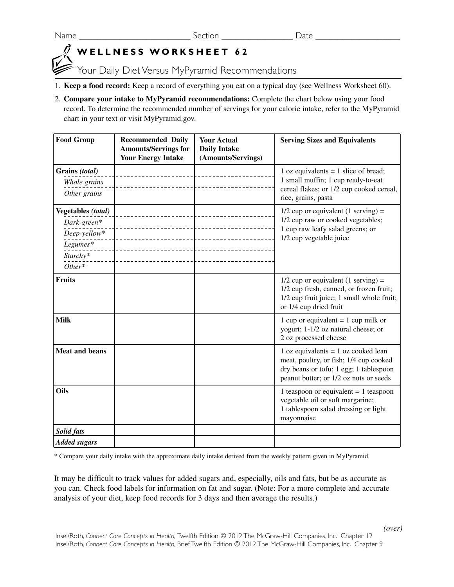Name \_\_\_\_\_\_\_\_\_\_\_\_\_\_\_\_\_\_\_\_\_\_\_\_\_ Section \_\_\_\_\_\_\_\_\_\_\_\_\_\_\_\_ Date \_\_\_\_\_\_\_\_\_\_\_\_\_\_\_\_\_\_\_

## **WELLNESS WORKSHEET 62**

Your Daily Diet Versus MyPyramid Recommendations

- 1. **Keep a food record:** Keep a record of everything you eat on a typical day (see Wellness Worksheet 60).
- 2. **Compare your intake to MyPyramid recommendations:** Complete the chart below using your food record. To determine the recommended number of servings for your calorie intake, refer to the MyPyramid chart in your text or visit MyPyramid.gov.

| <b>Food Group</b>         | <b>Recommended Daily</b><br><b>Amounts/Servings for</b><br><b>Your Energy Intake</b> | <b>Your Actual</b><br><b>Daily Intake</b><br>(Amounts/Servings) | <b>Serving Sizes and Equivalents</b>                                                                                                                                |
|---------------------------|--------------------------------------------------------------------------------------|-----------------------------------------------------------------|---------------------------------------------------------------------------------------------------------------------------------------------------------------------|
| Grains (total)            |                                                                                      |                                                                 | 1 oz equivalents $= 1$ slice of bread;                                                                                                                              |
| Whole grains              |                                                                                      |                                                                 | 1 small muffin; 1 cup ready-to-eat                                                                                                                                  |
| Other grains              |                                                                                      |                                                                 | cereal flakes; or 1/2 cup cooked cereal,<br>rice, grains, pasta                                                                                                     |
| <b>Vegetables</b> (total) |                                                                                      |                                                                 | $1/2$ cup or equivalent (1 serving) =                                                                                                                               |
| Dark-green*               |                                                                                      |                                                                 | 1/2 cup raw or cooked vegetables;                                                                                                                                   |
| Deep-yellow*              |                                                                                      |                                                                 | 1 cup raw leafy salad greens; or<br>1/2 cup vegetable juice                                                                                                         |
| Legumes*                  |                                                                                      |                                                                 |                                                                                                                                                                     |
| Starchy*                  |                                                                                      |                                                                 |                                                                                                                                                                     |
| $Other*$                  |                                                                                      |                                                                 |                                                                                                                                                                     |
| <b>Fruits</b>             |                                                                                      |                                                                 | $1/2$ cup or equivalent (1 serving) =<br>1/2 cup fresh, canned, or frozen fruit;<br>1/2 cup fruit juice; 1 small whole fruit;<br>or 1/4 cup dried fruit             |
| <b>Milk</b>               |                                                                                      |                                                                 | 1 cup or equivalent = 1 cup milk or<br>yogurt; 1-1/2 oz natural cheese; or<br>2 oz processed cheese                                                                 |
| <b>Meat and beans</b>     |                                                                                      |                                                                 | 1 oz equivalents = $1$ oz cooked lean<br>meat, poultry, or fish; 1/4 cup cooked<br>dry beans or tofu; 1 egg; 1 tablespoon<br>peanut butter; or 1/2 oz nuts or seeds |
| Oils                      |                                                                                      |                                                                 | 1 teaspoon or equivalent $= 1$ teaspoon<br>vegetable oil or soft margarine;<br>1 tablespoon salad dressing or light<br>mayonnaise                                   |
| Solid fats                |                                                                                      |                                                                 |                                                                                                                                                                     |
| <b>Added sugars</b>       |                                                                                      |                                                                 |                                                                                                                                                                     |

\* Compare your daily intake with the approximate daily intake derived from the weekly pattern given in MyPyramid.

It may be difficult to track values for added sugars and, especially, oils and fats, but be as accurate as you can. Check food labels for information on fat and sugar. (Note: For a more complete and accurate analysis of your diet, keep food records for 3 days and then average the results.)